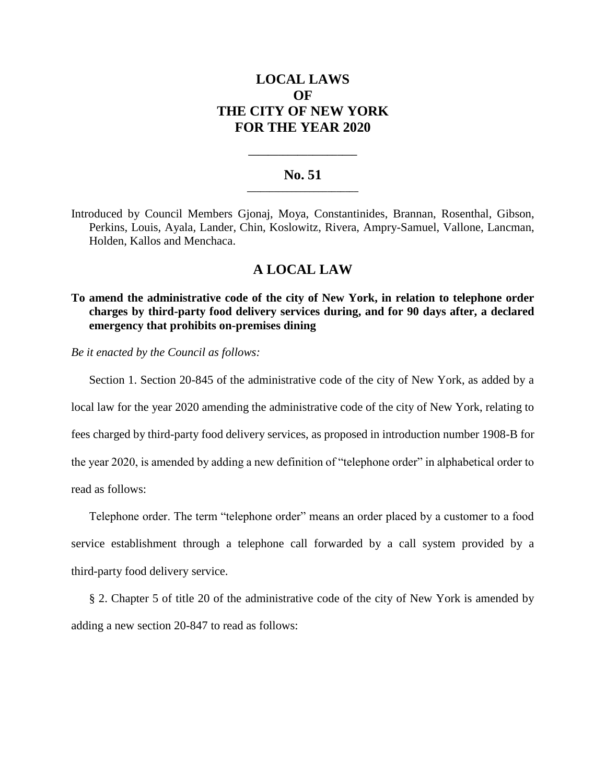# **LOCAL LAWS OF THE CITY OF NEW YORK FOR THE YEAR 2020**

### **No. 51 \_\_\_\_\_\_\_\_\_\_\_\_\_\_\_\_\_\_\_\_\_\_\_\_\_**

**\_\_\_\_\_\_\_\_\_\_\_\_\_\_\_\_\_\_\_\_\_\_**

Introduced by Council Members Gjonaj, Moya, Constantinides, Brannan, Rosenthal, Gibson, Perkins, Louis, Ayala, Lander, Chin, Koslowitz, Rivera, Ampry-Samuel, Vallone, Lancman, Holden, Kallos and Menchaca.

## **A LOCAL LAW**

**To amend the administrative code of the city of New York, in relation to telephone order charges by third-party food delivery services during, and for 90 days after, a declared emergency that prohibits on-premises dining**

*Be it enacted by the Council as follows:*

Section 1. Section 20-845 of the administrative code of the city of New York, as added by a

local law for the year 2020 amending the administrative code of the city of New York, relating to

fees charged by third-party food delivery services, as proposed in introduction number 1908-B for

the year 2020, is amended by adding a new definition of "telephone order" in alphabetical order to read as follows:

Telephone order. The term "telephone order" means an order placed by a customer to a food service establishment through a telephone call forwarded by a call system provided by a third-party food delivery service.

§ 2. Chapter 5 of title 20 of the administrative code of the city of New York is amended by adding a new section 20-847 to read as follows: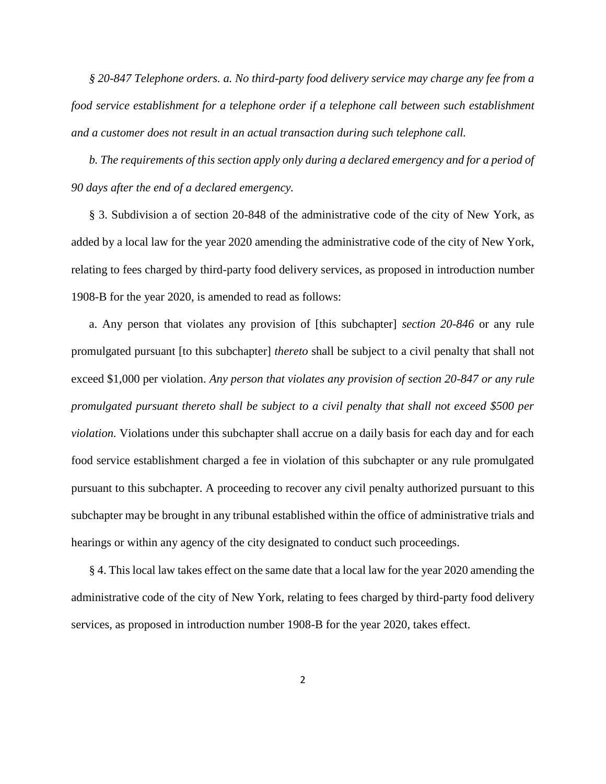*§ 20-847 Telephone orders. a. No third-party food delivery service may charge any fee from a food service establishment for a telephone order if a telephone call between such establishment and a customer does not result in an actual transaction during such telephone call.*

*b. The requirements of this section apply only during a declared emergency and for a period of 90 days after the end of a declared emergency.* 

§ 3. Subdivision a of section 20-848 of the administrative code of the city of New York, as added by a local law for the year 2020 amending the administrative code of the city of New York, relating to fees charged by third-party food delivery services, as proposed in introduction number 1908-B for the year 2020, is amended to read as follows:

a. Any person that violates any provision of [this subchapter] *section 20-846* or any rule promulgated pursuant [to this subchapter] *thereto* shall be subject to a civil penalty that shall not exceed \$1,000 per violation. *Any person that violates any provision of section 20-847 or any rule promulgated pursuant thereto shall be subject to a civil penalty that shall not exceed \$500 per violation.* Violations under this subchapter shall accrue on a daily basis for each day and for each food service establishment charged a fee in violation of this subchapter or any rule promulgated pursuant to this subchapter. A proceeding to recover any civil penalty authorized pursuant to this subchapter may be brought in any tribunal established within the office of administrative trials and hearings or within any agency of the city designated to conduct such proceedings.

§ 4. This local law takes effect on the same date that a local law for the year 2020 amending the administrative code of the city of New York, relating to fees charged by third-party food delivery services, as proposed in introduction number 1908-B for the year 2020, takes effect.